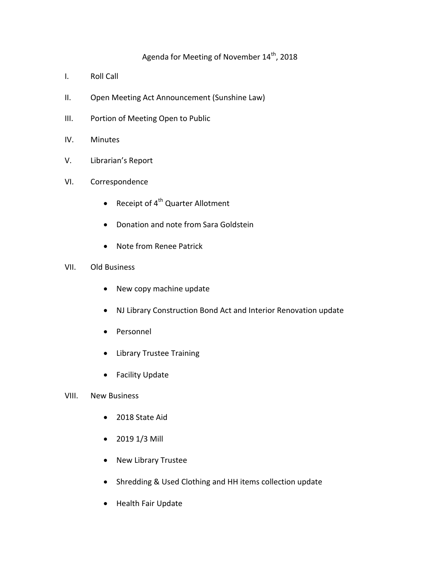## Agenda for Meeting of November 14<sup>th</sup>, 2018

- I. Roll Call
- II. Open Meeting Act Announcement (Sunshine Law)
- III. Portion of Meeting Open to Public
- IV. Minutes
- V. Librarian's Report
- VI. Correspondence
	- Receipt of  $4^{th}$  Quarter Allotment
	- Donation and note from Sara Goldstein
	- Note from Renee Patrick
- VII. Old Business
	- New copy machine update
	- NJ Library Construction Bond Act and Interior Renovation update
	- Personnel
	- Library Trustee Training
	- Facility Update

## VIII. New Business

- 2018 State Aid
- 2019 1/3 Mill
- New Library Trustee
- Shredding & Used Clothing and HH items collection update
- Health Fair Update